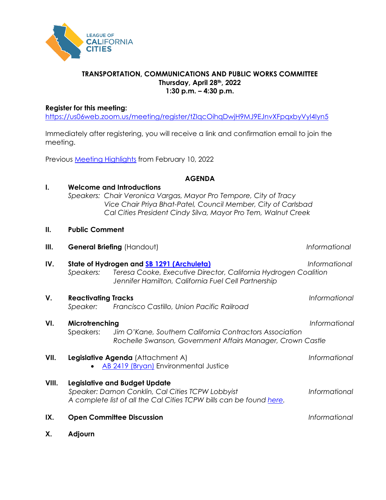

## **TRANSPORTATION, COMMUNICATIONS AND PUBLIC WORKS COMMITTEE Thursday, April 28th, 2022 1:30 p.m. – 4:30 p.m.**

## **Register for this meeting:**

<https://us06web.zoom.us/meeting/register/tZIqcOihqDwjH9MJ9EJnvXFpqxbyVyl4Iyn5>

Immediately after registering, you will receive a link and confirmation email to join the meeting.

Previous [Meeting Highlights](https://cacities-my.sharepoint.com/:b:/g/personal/dconklin_cacities_org/ERbcgKdZTAtOj0NONBf94tsBhk5eNhBArIIZRwB86YVLlQ?e=yr1Q58) from February 10, 2022

## **AGENDA**

| I.    |                                                                                                                                                                 | <b>Welcome and Introductions</b><br>Speakers: Chair Veronica Vargas, Mayor Pro Tempore, City of Tracy<br>Vice Chair Priya Bhat-Patel, Council Member, City of Carlsbad<br>Cal Cities President Cindy Silva, Mayor Pro Tem, Walnut Creek |                      |
|-------|-----------------------------------------------------------------------------------------------------------------------------------------------------------------|-----------------------------------------------------------------------------------------------------------------------------------------------------------------------------------------------------------------------------------------|----------------------|
| II.   | <b>Public Comment</b>                                                                                                                                           |                                                                                                                                                                                                                                         |                      |
| Ш.    | General Briefing (Handout)                                                                                                                                      |                                                                                                                                                                                                                                         | Informational        |
| IV.   | Speakers:                                                                                                                                                       | State of Hydrogen and <b>SB 1291 (Archuleta)</b><br>Teresa Cooke, Executive Director, California Hydrogen Coalition<br>Jennifer Hamilton, California Fuel Cell Partnership                                                              | Informational        |
| V.    | <b>Reactivating Tracks</b><br>Speaker:                                                                                                                          | Francisco Castillo, Union Pacific Railroad                                                                                                                                                                                              | Informational        |
| VI.   | Microtrenching<br>Speakers:                                                                                                                                     | Jim O'Kane, Southern California Contractors Association<br>Rochelle Swanson, Government Affairs Manager, Crown Castle                                                                                                                   | Informational        |
| VII.  |                                                                                                                                                                 | Legislative Agenda (Attachment A)<br>AB 2419 (Bryan) Environmental Justice                                                                                                                                                              | Informational        |
| VIII. | <b>Legislative and Budget Update</b><br>Speaker: Damon Conklin, Cal Cities TCPW Lobbyist<br>A complete list of all the Cal Cities TCPW bills can be found here. |                                                                                                                                                                                                                                         | <b>Informational</b> |
| IX.   | <b>Open Committee Discussion</b>                                                                                                                                |                                                                                                                                                                                                                                         | Informational        |
| Χ.    | Adjourn                                                                                                                                                         |                                                                                                                                                                                                                                         |                      |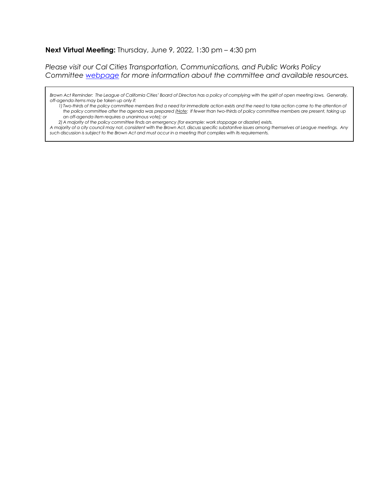### **Next Virtual Meeting:** Thursday, June 9, 2022, 1:30 pm – 4:30 pm

*Please visit our Cal Cities Transportation, Communications, and Public Works Policy Committee [webpage](https://www.calcities.org/home/advocacy/policy-areas-and-committees/transportation-communication-and-public-works) for more information about the committee and available resources.*

Brown Act Reminder: The League of California Cities' Board of Directors has a policy of complying with the spirit of open meeting laws. Generally, *off-agenda items may be taken up only if:*

*1) Two-thirds of the policy committee members find a need for immediate action exists and the need to take action came to the attention of the policy committee after the agenda was prepared (Note: If fewer than two-thirds of policy committee members are present, taking up an off-agenda item requires a unanimous vote); or*

*2)A majority of the policy committee finds an emergency (for example: work stoppage or disaster) exists.* 

*A majority of a city council may not, consistent with the Brown Act, discuss specific substantive issues among themselves at League meetings. Any such discussion is subject to the Brown Act and must occur in a meeting that complies with its requirements.*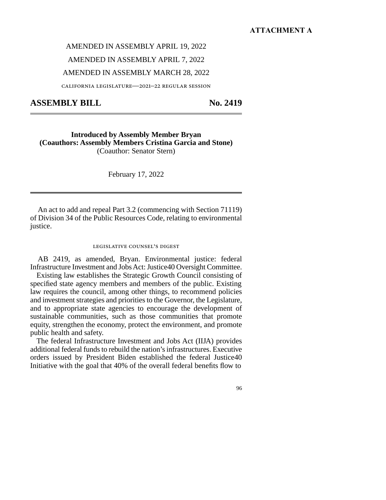#### **ATTACHMENT A**

AMENDED IN ASSEMBLY APRIL 19, 2022

AMENDED IN ASSEMBLY APRIL 7, 2022

AMENDED IN ASSEMBLY MARCH 28, 2022

california legislature—2021–22 regular session

**ASSEMBLY BILL No. 2419** 

**Introduced by Assembly Member Bryan (Coauthors: Assembly Members Cristina Garcia and Stone)**  (Coauthor: Senator Stern)

February 17, 2022

An act to add and repeal Part 3.2 (commencing with Section 71119) of Division 34 of the Public Resources Code, relating to environmental justice.

#### legislative counsel's digest

AB 2419, as amended, Bryan. Environmental justice: federal Infrastructure Investment and Jobs Act: Justice40 Oversight Committee.

Existing law establishes the Strategic Growth Council consisting of specified state agency members and members of the public. Existing law requires the council, among other things, to recommend policies and investment strategies and priorities to the Governor, the Legislature, and to appropriate state agencies to encourage the development of sustainable communities, such as those communities that promote equity, strengthen the economy, protect the environment, and promote public health and safety.

The federal Infrastructure Investment and Jobs Act (IIJA) provides additional federal funds to rebuild the nation's infrastructures. Executive orders issued by President Biden established the federal Justice40 Initiative with the goal that 40% of the overall federal benefits flow to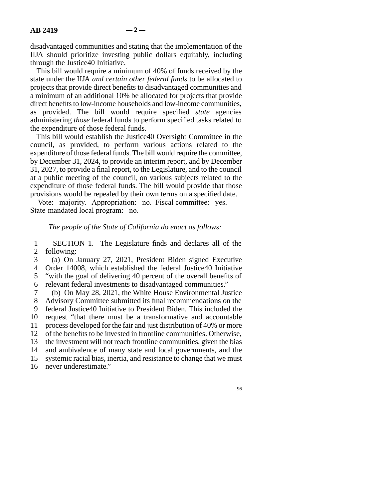disadvantaged communities and stating that the implementation of the IIJA should prioritize investing public dollars equitably, including through the Justice40 Initiative.

This bill would require a minimum of 40% of funds received by the state under the IIJA *and certain other federal funds* to be allocated to projects that provide direct benefits to disadvantaged communities and a minimum of an additional 10% be allocated for projects that provide direct benefits to low-income households and low-income communities, as provided. The bill would require specified *state* agencies administering *those* federal funds to perform specified tasks related to the expenditure of those federal funds.

This bill would establish the Justice40 Oversight Committee in the council, as provided, to perform various actions related to the expenditure of those federal funds. The bill would require the committee, by December 31, 2024, to provide an interim report, and by December 31, 2027, to provide a final report, to the Legislature, and to the council at a public meeting of the council, on various subjects related to the expenditure of those federal funds. The bill would provide that those provisions would be repealed by their own terms on a specified date.

Vote: majority. Appropriation: no. Fiscal committee: yes. State-mandated local program: no.

#### *The people of the State of California do enact as follows:*

1 SECTION 1. The Legislature finds and declares all of the 2 following: following:

3 (a) On January 27, 2021, President Biden signed Executive

4 Order 14008, which established the federal Justice40 Initiative 5 "with the goal of delivering 40 percent of the overall benefits of

6 relevant federal investments to disadvantaged communities."

 line 7 (b) On May 28, 2021, the White House Environmental Justice 8 Advisory Committee submitted its final recommendations on the

9 federal Justice40 Initiative to President Biden. This included the

10 request "that there must be a transformative and accountable

11 process developed for the fair and just distribution of 40% or more

12 of the benefits to be invested in frontline communities. Otherwise,<br>13 the investment will not reach frontline communities, given the bias

the investment will not reach frontline communities, given the bias

14 and ambivalence of many state and local governments, and the

15 systemic racial bias, inertia, and resistance to change that we must

16 never underestimate."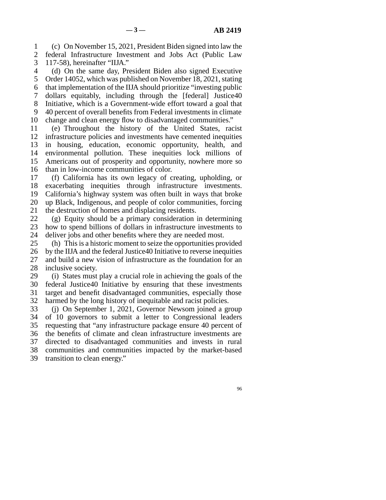line 1 (c) On November 15, 2021, President Biden signed into law the 2 federal Infrastructure Investment and Jobs Act (Public Law 3 117-58), hereinafter "IIJA." 117-58), hereinafter "IIJA."

4 (d) On the same day, President Biden also signed Executive 5 Order 14052, which was published on November 18, 2021, stating 6 that implementation of the IIJA should prioritize "investing public line 7 dollars equitably, including through the [federal] Justice40 8 Initiative, which is a Government-wide effort toward a goal that 9 40 percent of overall benefits from Federal investments in climate 10 change and clean energy flow to disadvantaged communities."

 line 11 (e) Throughout the history of the United States, racist 12 infrastructure policies and investments have cemented inequities 13 in housing, education, economic opportunity, health, and 14 environmental pollution. These inequities lock millions of 15 Americans out of prosperity and opportunity, nowhere more so 16 than in low-income communities of color.

17 (f) California has its own legacy of creating, upholding, or 18 exacerbating inequities through infrastructure investments. 19 California's highway system was often built in ways that broke 20 up Black, Indigenous, and people of color communities, forcing 21 the destruction of homes and displacing residents.

22 (g) Equity should be a primary consideration in determining<br>23 how to spend billions of dollars in infrastructure investments to how to spend billions of dollars in infrastructure investments to 24 deliver jobs and other benefits where they are needed most.<br>25 (h) This is a historic moment to seize the opportunities pro

(h) This is a historic moment to seize the opportunities provided 26 by the IIJA and the federal Justice40 Initiative to reverse inequities 27 and build a new vision of infrastructure as the foundation for an 28 inclusive society.

29 (i) States must play a crucial role in achieving the goals of the 30 federal Justice40 Initiative by ensuring that these investments 31 target and benefit disadvantaged communities, especially those 32 harmed by the long history of inequitable and racist policies.

33 (j) On September 1, 2021, Governor Newsom joined a group 34 of 10 governors to submit a letter to Congressional leaders 35 requesting that "any infrastructure package ensure 40 percent of 36 the benefits of climate and clean infrastructure investments are 37 directed to disadvantaged communities and invests in rural 38 communities and communities impacted by the market-based 39 transition to clean energy."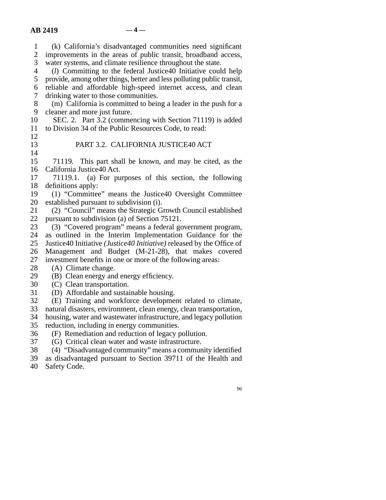line 1 (k) California's disadvantaged communities need significant 2 improvements in the areas of public transit, broadband access,<br>3 water systems, and climate resilience throughout the state. water systems, and climate resilience throughout the state. line 4 (*l*) Committing to the federal Justice40 Initiative could help 5 provide, among other things, better and less polluting public transit, 6 reliable and affordable high-speed internet access, and clean 7 drinking water to those communities. line 8 (m) California is committed to being a leader in the push for a 9 cleaner and more just future. 10 SEC. 2. Part 3.2 (commencing with Section 71119) is added 11 to Division 34 of the Public Resources Code, to read:  $12$ 13 PART 3.2. CALIFORNIA JUSTICE40 ACT  $\frac{14}{15}$ 71119. This part shall be known, and may be cited, as the 16 California Justice40 Act. 17 71119.1. (a) For purposes of this section, the following 18 definitions apply: 19 (1) "Committee" means the Justice40 Oversight Committee 20 established pursuant to subdivision  $(i)$ . 21 (2) "Council" means the Strategic Growth Council established 22 pursuant to subdivision (a) of Section 75121.<br>23 (3) "Covered program" means a federal go line 23 (3) "Covered program" means a federal government program, 24 as outlined in the Interim Implementation Guidance for the  $25$  Justice 40 Initiative *(Justice 40 Initiative*) released by the Office of line 25 Justice40 Initiative *(Justice40 Initiative)* released by the Office of 26 Management and Budget (M-21-28), that makes covered 27 investment benefits in one or more of the following areas:  $28$  (A) Climate change. 29  $\hspace{0.1em}$  (B) Clean energy and energy efficiency. 30 (C) Clean transportation. 31 (D) Affordable and sustainable housing. 32 (E) Training and workforce development related to climate, 33 natural disasters, environment, clean energy, clean transportation, 34 housing, water and wastewater infrastructure, and legacy pollution 35 reduction, including in energy communities. 36 (F) Remediation and reduction of legacy pollution. 37 (G) Critical clean water and waste infrastructure. 38 (4) "Disadvantaged community" means a community identified

39 as disadvantaged pursuant to Section 39711 of the Health and

40 Safety Code.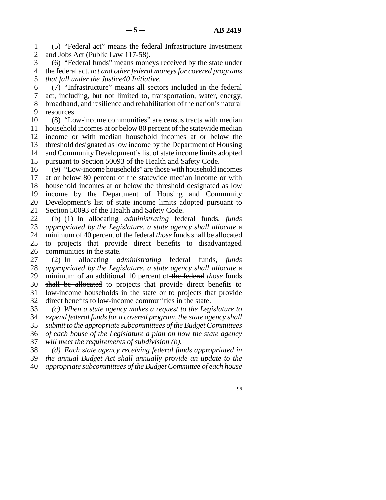line 1 (5) "Federal act" means the federal Infrastructure Investment 2 and Jobs Act (Public Law 117-58).

3 (6) "Federal funds" means moneys received by the state under line 4 the federal act. *act and other federal moneys for covered programs*  5 *that fall under the Justice40 Initiative.* 

 line 6 (7) "Infrastructure" means all sectors included in the federal line 7 act, including, but not limited to, transportation, water, energy, 8 broadband, and resilience and rehabilitation of the nation's natural 9 resources.

10 (8) "Low-income communities" are census tracts with median 11 household incomes at or below 80 percent of the statewide median 12 income or with median household incomes at or below the 13 threshold designated as low income by the Department of Housing 14 and Community Development's list of state income limits adopted 15 pursuant to Section 50093 of the Health and Safety Code.

16 (9) "Low-income households" are those with household incomes 17 at or below 80 percent of the statewide median income or with 18 household incomes at or below the threshold designated as low 19 income by the Department of Housing and Community 20 Development's list of state income limits adopted pursuant to 21 Section 50093 of the Health and Safety Code.

lead 22 (b) (1) In allocating *administrating* federal funds, *funds* 23 *annronriated by the Legislature, a state agency shall allocate* a appropriated by the Legislature, a state agency shall allocate a 24 minimum of 40 percent of the federal *those* funds shall be allocated 25 to projects that provide direct benefits to disadvantaged to projects that provide direct benefits to disadvantaged 26 communities in the state.

27 (2) In allocating *administrating* federal funds, *funds* 28 *appropriated by the Legislature, a state agency shall allocate* a 29 minimum of an additional 10 percent of the federal *those* funds 30 shall be allocated to projects that provide direct benefits to 31 low-income households in the state or to projects that provide 32 direct benefits to low-income communities in the state.

 line 33 *(c) When a state agency makes a request to the Legislature to*  34 *expend federal funds for a covered program, the state agency shall*  line 35 *submit to the appropriate subcommittees of the Budget Committees*  line 36 *of each house of the Legislature a plan on how the state agency*  37 *will meet the requirements of subdivision (b).* 

line 38 *(d) Each state agency receiving federal funds appropriated in* 

line 39 *the annual Budget Act shall annually provide an update to the* 

line 40 *appropriate subcommittees of the Budget Committee of each house*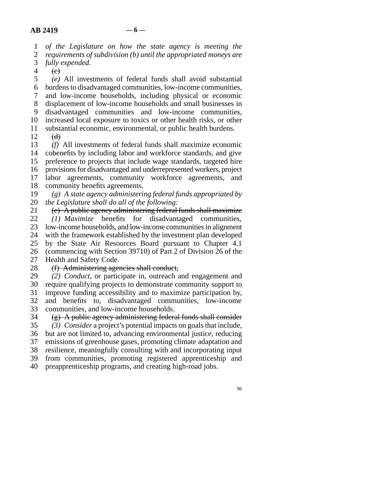line 1 *of the Legislature on how the state agency is meeting the* 

2 *requirements of subdivision (b) until the appropriated moneys are* 3 *fully expended.* fully expended.

 $4 \quad (e)$ 

 line 5 *(e)* All investments of federal funds shall avoid substantial line 6 burdens to disadvantaged communities, low-income communities, line 7 and low-income households, including physical or economic 8 displacement of low-income households and small businesses in 9 disadvantaged communities and low-income communities, 10 increased local exposure to toxics or other health risks, or other 11 substantial economic, environmental, or public health burdens.<br>12 (d)

 $\Theta$ 

13 (f) All investments of federal funds shall maximize economic 14 cobenefits by including labor and workforce standards, and give 15 preference to projects that include wage standards, targeted hire 16 provisions for disadvantaged and underrepresented workers, project 17 labor agreements, community workforce agreements, and 18 community benefits agreements.

 line 19 *(g) A state agency administering federal funds appropriated by*  20 *the Legislature shall do all of the following:* 

21  $\left(e\right)$  A public agency administering federal funds shall maximize 22 *(1) Maximize* benefits for disadvantaged communities,<br>23 low-income households, and low-income communities in alignment low-income households, and low-income communities in alignment 24 with the framework established by the investment plan developed<br>25 by the State Air Resources Board pursuant to Chapter 4.1 by the State Air Resources Board pursuant to Chapter 4.1 26 (commencing with Section 39710) of Part 2 of Division 26 of the 27 Health and Safety Code.<br>28 <del>(f) Administering age</del>

# 28 (f) Administering agencies shall conduct,<br>29 (2) *Conduct*, or participate in, outreach a

 line 29 *(2) Conduct,* or participate in, outreach and engagement and line 30 require qualifying projects to demonstrate community support to

31 improve funding accessibility and to maximize participation by, 32 and benefits to, disadvantaged communities, low-income

33 communities, and low-income households.

 $\frac{1}{2}$  (g) A public agency administering federal funds shall consider line 35 *(3) Consider* a project's potential impacts on goals that include, 36 but are not limited to, advancing environmental justice, reducing 37 emissions of greenhouse gases, promoting climate adaptation and line 38 resilience, meaningfully consulting with and incorporating input 39 from communities, promoting registered apprenticeship and 40 preapprenticeship programs, and creating high-road jobs.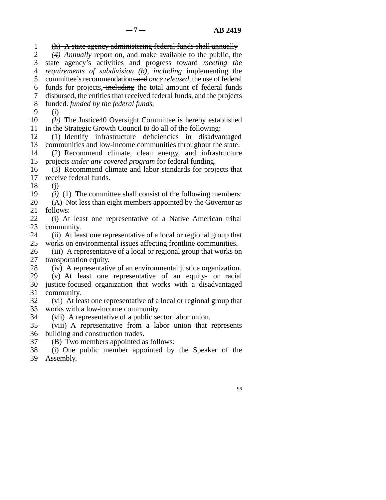line 1 (h) A state agency administering federal funds shall annually 2 (4) *Annually* report on, and make available to the public, the state agency's activities and progress toward *meeting the*  line 3 state agency's activities and progress toward *meeting the*  line 4 *requirements of subdivision (b), including* implementing the line 5 committee's recommendations and *once released,* the use of federal 6 funds for projects, including the total amount of federal funds 7 disbursed, the entities that received federal funds, and the projects 8 funded. funded by the federal funds. 9  $\overrightarrow{H}$ 10 *(h)* The Justice40 Oversight Committee is hereby established 11 in the Strategic Growth Council to do all of the following: 12 (1) Identify infrastructure deficiencies in disadvantaged 13 communities and low-income communities throughout the state. 14 (2) Recommend climate, clean energy, and infrastructure 15 projects *under any covered program* for federal funding. 16 (3) Recommend climate and labor standards for projects that 17 receive federal funds. 18  $\qquad$  (i) 19 *(i)* (1) The committee shall consist of the following members: 20 (A) Not less than eight members appointed by the Governor as 21 follows: 22 (i) At least one representative of a Native American tribal 23 community. community. 24 (ii) At least one representative of a local or regional group that 25 works on environmental issues affecting frontline communities. works on environmental issues affecting frontline communities.

26 (iii) A representative of a local or regional group that works on transportation equity. transportation equity.

- 28 (iv) A representative of an environmental justice organization.
- 29 (v) At least one representative of an equity- or racial 30 justice-focused organization that works with a disadvantaged 31 community.
- 32 (vi) At least one representative of a local or regional group that 33 works with a low-income community.
- 34 (vii) A representative of a public sector labor union.
- 35 (viii) A representative from a labor union that represents 36 building and construction trades.
- 37 (B) Two members appointed as follows:

38 (i) One public member appointed by the Speaker of the 39 Assembly.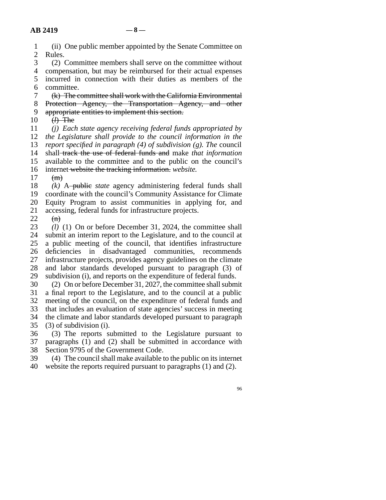|    | (ii) One public member appointed by the Senate Committee on            |
|----|------------------------------------------------------------------------|
| 2  | Rules.                                                                 |
| 3  | (2) Committee members shall serve on the committee without             |
| 4  | compensation, but may be reimbursed for their actual expenses          |
| 5. | incurred in connection with their duties as members of the             |
| 6  | committee.                                                             |
| 7  | (k) The committee shall work with the California Environmental         |
| 8  | Protection Agency, the Transportation Agency, and other                |
| 9  | appropriate entities to implement this section.                        |
| 10 | $(h)$ The                                                              |
| 11 | $(i)$ Each state agency receiving federal funds appropriated by        |
| 12 | the Legislature shall provide to the council information in the        |
| 13 | report specified in paragraph $(4)$ of subdivision $(g)$ . The council |
| 14 | shall-track the use of federal funds and make that information         |
| 15 | available to the committee and to the public on the council's          |
| 16 | internet-website the tracking information. website.                    |
| 17 | (m)                                                                    |
| 18 | $(k)$ A-public <i>state</i> agency administering federal funds shall   |

19 coordinate with the council's Community Assistance for Climate 20 Equity Program to assist communities in applying for, and 21 accessing, federal funds for infrastructure projects.

 $\begin{matrix} 22 & (n) \\ 23 & (l) \end{matrix}$  $(l)$  (1) On or before December 31, 2024, the committee shall 24 submit an interim report to the Legislature, and to the council at 25 a public meeting of the council, that identifies infrastructure a public meeting of the council, that identifies infrastructure 26 deficiencies in disadvantaged communities, recommends 27 infrastructure projects, provides agency guidelines on the climate 28 and labor standards developed pursuant to paragraph (3) of 29 subdivision (i), and reports on the expenditure of federal funds.

 line 30 (2) On or before December 31, 2027, the committee shall submit 31 a final report to the Legislature, and to the council at a public 32 meeting of the council, on the expenditure of federal funds and that includes an evaluation of state agencies' success in meeting that includes an evaluation of state agencies' success in meeting 34 the climate and labor standards developed pursuant to paragraph  $35$  (3) of subdivision (i).

36 (3) The reports submitted to the Legislature pursuant to 37 paragraphs (1) and (2) shall be submitted in accordance with 38 Section 9795 of the Government Code.<br>39 (4) The council shall make available to

 $(4)$  The council shall make available to the public on its internet 40 website the reports required pursuant to paragraphs  $(1)$  and  $(2)$ .